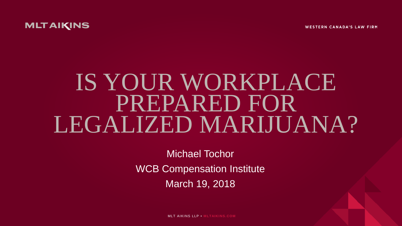**WESTERN CANADA'S LAW FIRM** 



# IS YOUR WORKPLACE PREPARED FOR LEGALIZED MARIJUANA?

Michael Tochor WCB Compensation Institute March 19, 2018

MLT AIKINS LLP • **MLTAIKINS.COM**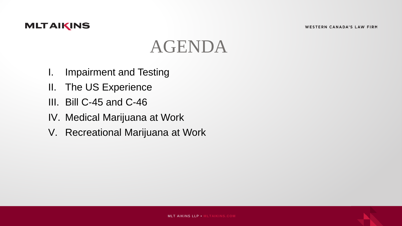

# AGENDA

- I. Impairment and Testing
- II. The US Experience
- III. Bill C-45 and C-46
- IV. Medical Marijuana at Work
- V. Recreational Marijuana at Work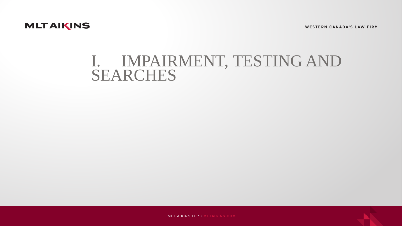**WESTERN CANADA'S LAW FIRM** 



### I. IMPAIRMENT, TESTING AND SEARCHES



MLT AIKINS LLP • **MLTAIKINS.COM**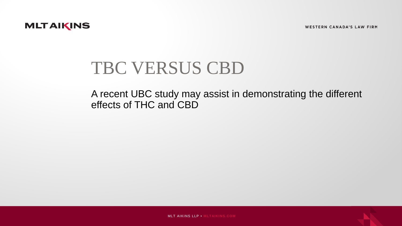**WESTERN CANADA'S LAW FIRM** 



## TBC VERSUS CBD

A recent UBC study may assist in demonstrating the different effects of THC and CBD



MLT AIKINS LLP • **MLTAIKINS.COM**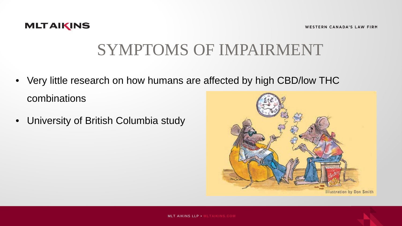

### SYMPTOMS OF IMPAIRMENT

- Very little research on how humans are affected by high CBD/low THC combinations
- University of British Columbia study

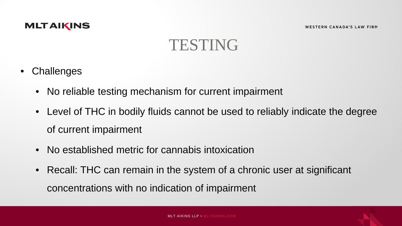### TESTING

- Challenges
	- No reliable testing mechanism for current impairment
	- Level of THC in bodily fluids cannot be used to reliably indicate the degree of current impairment
	- No established metric for cannabis intoxication
	- Recall: THC can remain in the system of a chronic user at significant concentrations with no indication of impairment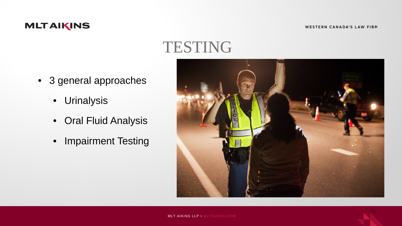### TESTING

- 3 general approaches
	- Urinalysis
	- Oral Fluid Analysis
	- Impairment Testing

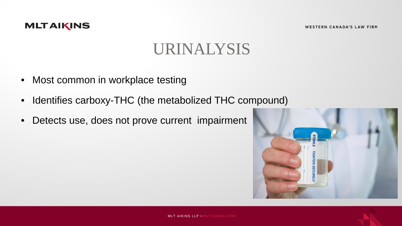

### URINALYSIS

- Most common in workplace testing
- Identifies carboxy-THC (the metabolized THC compound)
- Detects use, does not prove current impairment

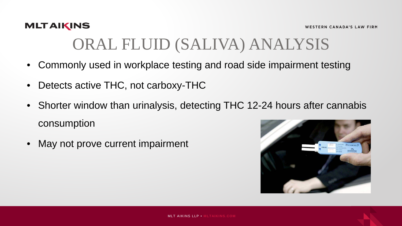

## ORAL FLUID (SALIVA) ANALYSIS

- Commonly used in workplace testing and road side impairment testing
- Detects active THC, not carboxy-THC
- Shorter window than urinalysis, detecting THC 12-24 hours after cannabis consumption
- May not prove current impairment

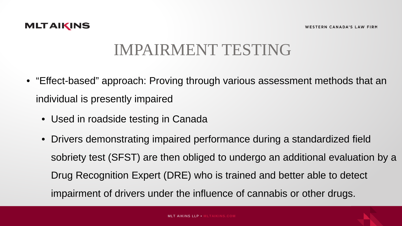

### IMPAIRMENT TESTING

- "Effect-based" approach: Proving through various assessment methods that an individual is presently impaired
	- Used in roadside testing in Canada
	- Drivers demonstrating impaired performance during a standardized field sobriety test (SFST) are then obliged to undergo an additional evaluation by a Drug Recognition Expert (DRE) who is trained and better able to detect impairment of drivers under the influence of cannabis or other drugs.

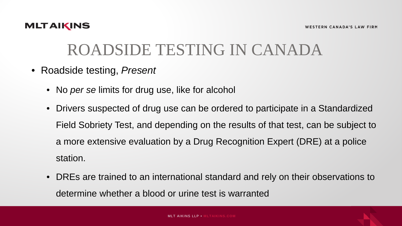

- Roadside testing, *Present* 
	- No *per se* limits for drug use, like for alcohol
	- Drivers suspected of drug use can be ordered to participate in a Standardized Field Sobriety Test, and depending on the results of that test, can be subject to a more extensive evaluation by a Drug Recognition Expert (DRE) at a police station.
	- DREs are trained to an international standard and rely on their observations to determine whether a blood or urine test is warranted

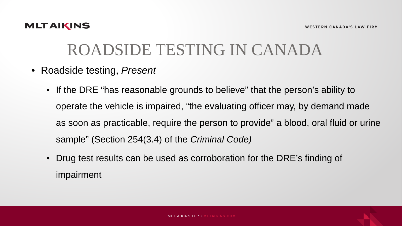

- Roadside testing, *Present* 
	- If the DRE "has reasonable grounds to believe" that the person's ability to operate the vehicle is impaired, "the evaluating officer may, by demand made as soon as practicable, require the person to provide" a blood, oral fluid or urine sample" (Section 254(3.4) of the *Criminal Code)*
	- Drug test results can be used as corroboration for the DRE's finding of impairment

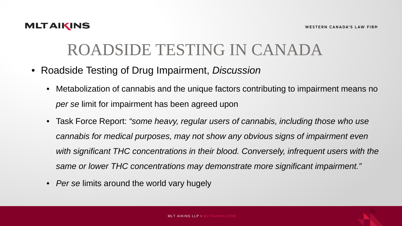

- Roadside Testing of Drug Impairment, *Discussion*
	- Metabolization of cannabis and the unique factors contributing to impairment means no *per se* limit for impairment has been agreed upon
	- Task Force Report: *"some heavy, regular users of cannabis, including those who use cannabis for medical purposes, may not show any obvious signs of impairment even with significant THC concentrations in their blood. Conversely, infrequent users with the same or lower THC concentrations may demonstrate more significant impairment."*
	- *Per se* limits around the world vary hugely

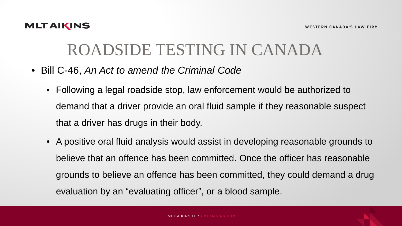- Bill C-46, *An Act to amend the Criminal Code* 
	- Following a legal roadside stop, law enforcement would be authorized to demand that a driver provide an oral fluid sample if they reasonable suspect that a driver has drugs in their body.
	- A positive oral fluid analysis would assist in developing reasonable grounds to believe that an offence has been committed. Once the officer has reasonable grounds to believe an offence has been committed, they could demand a drug evaluation by an "evaluating officer", or a blood sample.

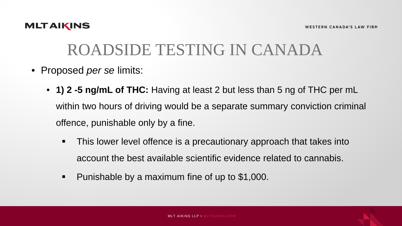

- Proposed *per se* limits:
	- **1) 2 -5 ng/mL of THC:** Having at least 2 but less than 5 ng of THC per mL within two hours of driving would be a separate summary conviction criminal offence, punishable only by a fine.
		- **This lower level offence is a precautionary approach that takes into** account the best available scientific evidence related to cannabis.
		- **Punishable by a maximum fine of up to \$1,000.**

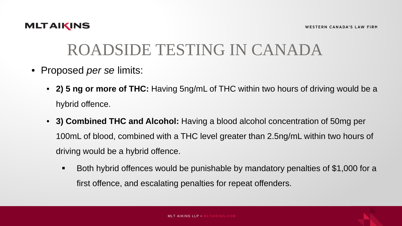

- Proposed *per se* limits:
	- **2) 5 ng or more of THC:** Having 5ng/mL of THC within two hours of driving would be a hybrid offence.
	- **3) Combined THC and Alcohol:** Having a blood alcohol concentration of 50mg per 100mL of blood, combined with a THC level greater than 2.5ng/mL within two hours of driving would be a hybrid offence.
		- Both hybrid offences would be punishable by mandatory penalties of \$1,000 for a first offence, and escalating penalties for repeat offenders.

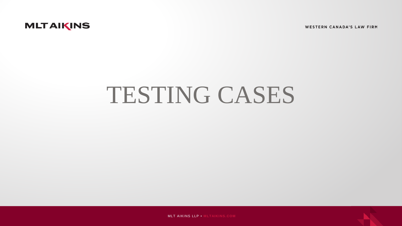**WESTERN CANADA'S LAW FIRM** 



# TESTING CASES



MLT AIKINS LLP • **MLTAIKINS.COM**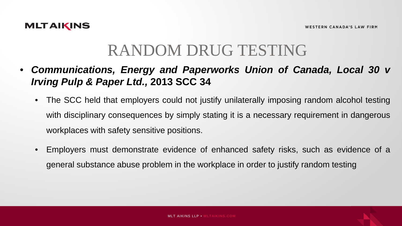

- *Communications, Energy and Paperworks Union of Canada, Local 30 v Irving Pulp & Paper Ltd.,* **2013 SCC 34**
	- The SCC held that employers could not justify unilaterally imposing random alcohol testing with disciplinary consequences by simply stating it is a necessary requirement in dangerous workplaces with safety sensitive positions.
	- Employers must demonstrate evidence of enhanced safety risks, such as evidence of a general substance abuse problem in the workplace in order to justify random testing

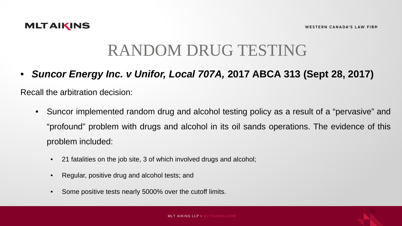

• *Suncor Energy Inc. v Unifor, Local 707A,* **2017 ABCA 313 (Sept 28, 2017)**

Recall the arbitration decision:

- Suncor implemented random drug and alcohol testing policy as a result of a "pervasive" and "profound" problem with drugs and alcohol in its oil sands operations. The evidence of this problem included:
	- 21 fatalities on the job site, 3 of which involved drugs and alcohol;
	- Regular, positive drug and alcohol tests; and
	- Some positive tests nearly 5000% over the cutoff limits.

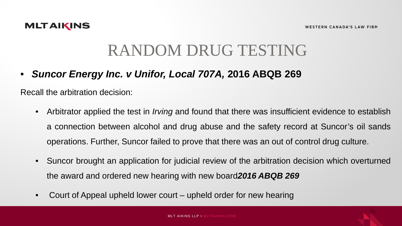

• *Suncor Energy Inc. v Unifor, Local 707A,* **2016 ABQB 269**

Recall the arbitration decision:

- Arbitrator applied the test in *Irving* and found that there was insufficient evidence to establish a connection between alcohol and drug abuse and the safety record at Suncor's oil sands operations. Further, Suncor failed to prove that there was an out of control drug culture.
- Suncor brought an application for judicial review of the arbitration decision which overturned the award and ordered new hearing with new board*2016 ABQB 269*
- Court of Appeal upheld lower court upheld order for new hearing

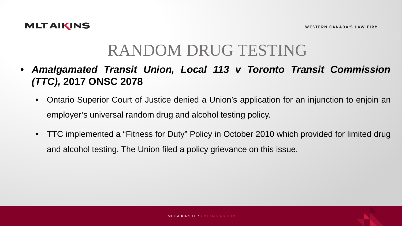

- *Amalgamated Transit Union, Local 113 v Toronto Transit Commission (TTC),* **2017 ONSC 2078**
	- Ontario Superior Court of Justice denied a Union's application for an injunction to enjoin an employer's universal random drug and alcohol testing policy.
	- TTC implemented a "Fitness for Duty" Policy in October 2010 which provided for limited drug and alcohol testing. The Union filed a policy grievance on this issue.

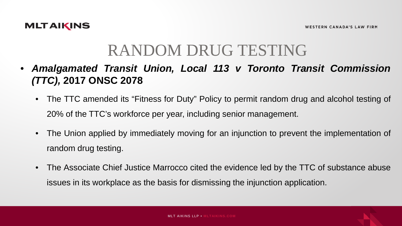

- *Amalgamated Transit Union, Local 113 v Toronto Transit Commission (TTC),* **2017 ONSC 2078**
	- The TTC amended its "Fitness for Duty" Policy to permit random drug and alcohol testing of 20% of the TTC's workforce per year, including senior management.
	- The Union applied by immediately moving for an injunction to prevent the implementation of random drug testing.
	- The Associate Chief Justice Marrocco cited the evidence led by the TTC of substance abuse issues in its workplace as the basis for dismissing the injunction application.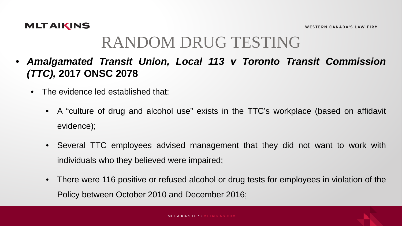

- *Amalgamated Transit Union, Local 113 v Toronto Transit Commission (TTC),* **2017 ONSC 2078**
	- The evidence led established that:
		- A "culture of drug and alcohol use" exists in the TTC's workplace (based on affidavit evidence);
		- Several TTC employees advised management that they did not want to work with individuals who they believed were impaired;
		- There were 116 positive or refused alcohol or drug tests for employees in violation of the Policy between October 2010 and December 2016;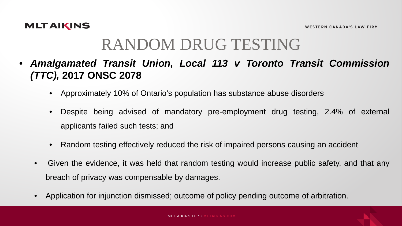

- *Amalgamated Transit Union, Local 113 v Toronto Transit Commission (TTC),* **2017 ONSC 2078**
	- Approximately 10% of Ontario's population has substance abuse disorders
	- Despite being advised of mandatory pre-employment drug testing, 2.4% of external applicants failed such tests; and
	- Random testing effectively reduced the risk of impaired persons causing an accident
	- Given the evidence, it was held that random testing would increase public safety, and that any breach of privacy was compensable by damages.
	- Application for injunction dismissed; outcome of policy pending outcome of arbitration.

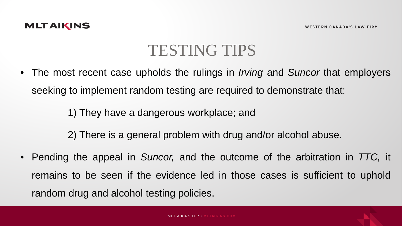

### TESTING TIPS

• The most recent case upholds the rulings in *Irving* and *Suncor* that employers seeking to implement random testing are required to demonstrate that:

1) They have a dangerous workplace; and

2) There is a general problem with drug and/or alcohol abuse.

• Pending the appeal in *Suncor,* and the outcome of the arbitration in *TTC,* it remains to be seen if the evidence led in those cases is sufficient to uphold random drug and alcohol testing policies.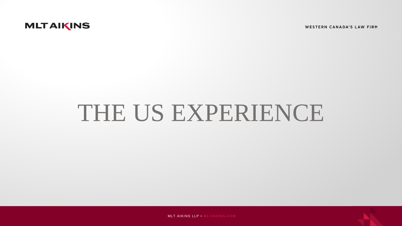

**WESTERN CANADA'S LAW FIRM** 

# THE US EXPERIENCE



MLT AIKINS LLP • **MLTAIKINS.COM**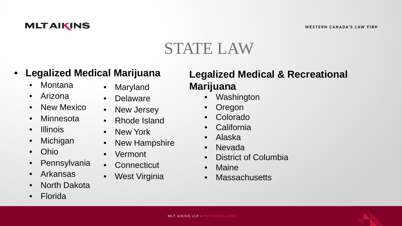### STATE LAW

#### • **Legalized Medical Marijuana**

- Montana
- Arizona
- New Mexico
- Minnesota
- Illinois
- Michigan
- Ohio
- Pennsylvania
- Arkansas
- North Dakota
- Florida
- Maryland
- Delaware
- New Jersey
- Rhode Island
- New York
- New Hampshire
- Vermont
- Connecticut
- West Virginia

#### **Legalized Medical & Recreational Marijuana**

- **Washington**
- **Oregon**
- Colorado
- **California**
- Alaska
- Nevada
- District of Columbia
- **Maine**
- **Massachusetts**

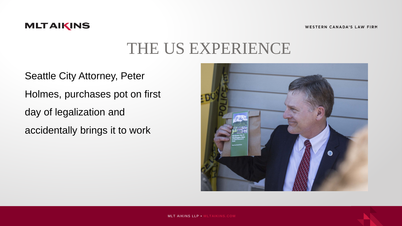

**WESTERN CANADA'S LAW FIRM** 

### THE US EXPERIENCE

Seattle City Attorney, Peter Holmes, purchases pot on first day of legalization and accidentally brings it to work

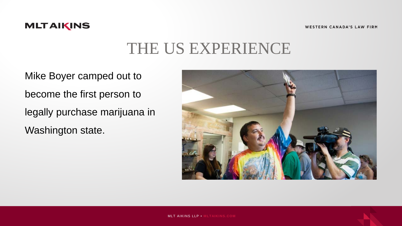**WESTERN CANADA'S LAW FIRM** 



### THE US EXPERIENCE

Mike Boyer camped out to become the first person to legally purchase marijuana in Washington state.

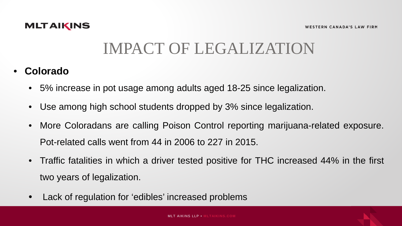

### IMPACT OF LEGALIZATION

#### • **Colorado**

- 5% increase in pot usage among adults aged 18-25 since legalization.
- Use among high school students dropped by 3% since legalization.
- More Coloradans are calling Poison Control reporting marijuana-related exposure. Pot-related calls went from 44 in 2006 to 227 in 2015.
- Traffic fatalities in which a driver tested positive for THC increased 44% in the first two years of legalization.
- Lack of regulation for 'edibles' increased problems

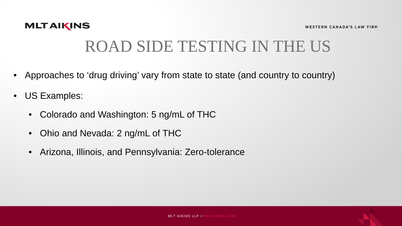

### ROAD SIDE TESTING IN THE US

- Approaches to 'drug driving' vary from state to state (and country to country)
- US Examples:
	- Colorado and Washington: 5 ng/mL of THC
	- Ohio and Nevada: 2 ng/mL of THC
	- Arizona, Illinois, and Pennsylvania: Zero-tolerance

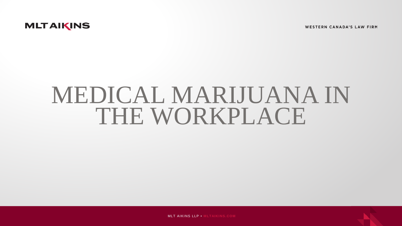**WESTERN CANADA'S LAW FIRM** 



# MEDICAL MARIJUANA IN THE WORKPLACE



MLT AIKINS LLP • **MLTAIKINS.COM**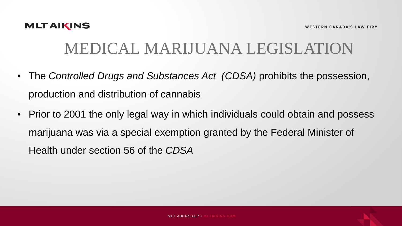

- The *Controlled Drugs and Substances Act (CDSA)* prohibits the possession, production and distribution of cannabis
- Prior to 2001 the only legal way in which individuals could obtain and possess marijuana was via a special exemption granted by the Federal Minister of Health under section 56 of the *CDSA*

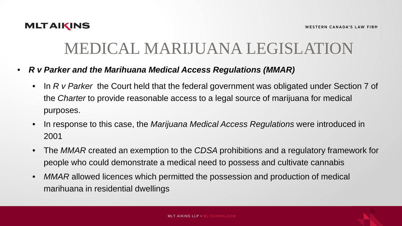- *R v Parker and the Marihuana Medical Access Regulations (MMAR)*
	- In *R v Parker* the Court held that the federal government was obligated under Section 7 of the *Charter* to provide reasonable access to a legal source of marijuana for medical purposes.
	- In response to this case, the *Marijuana Medical Access Regulations* were introduced in 2001
	- The *MMAR* created an exemption to the *CDSA* prohibitions and a regulatory framework for people who could demonstrate a medical need to possess and cultivate cannabis
	- *MMAR* allowed licences which permitted the possession and production of medical marihuana in residential dwellings

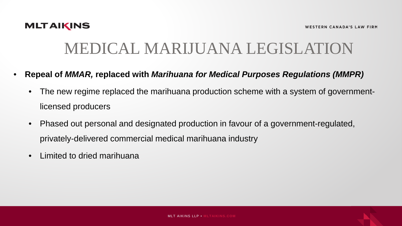- **Repeal of** *MMAR,* **replaced with** *Marihuana for Medical Purposes Regulations (MMPR)*
	- The new regime replaced the marihuana production scheme with a system of governmentlicensed producers
	- Phased out personal and designated production in favour of a government-regulated, privately-delivered commercial medical marihuana industry
	- Limited to dried marihuana

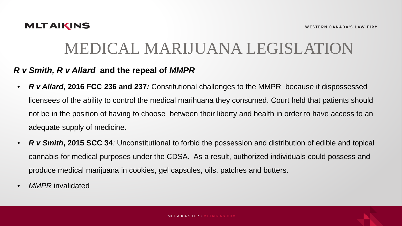### MEDICAL MARIJUANA LEGISLATION

#### *R v Smith, R v Allard* **and the repeal of** *MMPR*

- *R v Allard***, 2016 FCC 236 and 237***:* Constitutional challenges to the MMPR because it dispossessed licensees of the ability to control the medical marihuana they consumed. Court held that patients should not be in the position of having to choose between their liberty and health in order to have access to an adequate supply of medicine.
- *R v Smith***, 2015 SCC 34***:* Unconstitutional to forbid the possession and distribution of edible and topical cannabis for medical purposes under the CDSA. As a result, authorized individuals could possess and produce medical marijuana in cookies, gel capsules, oils, patches and butters.
- *MMPR* invalidated

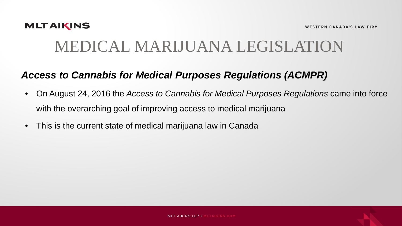## MEDICAL MARIJUANA LEGISLATION

#### *Access to Cannabis for Medical Purposes Regulations (ACMPR)*

- On August 24, 2016 the *Access to Cannabis for Medical Purposes Regulations* came into force with the overarching goal of improving access to medical marijuana
- This is the current state of medical marijuana law in Canada

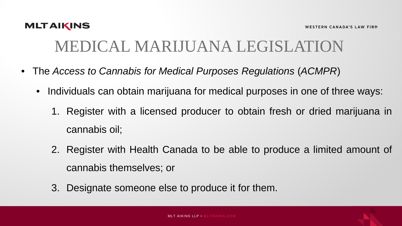- The *Access to Cannabis for Medical Purposes Regulations* (*ACMPR*)
	- Individuals can obtain marijuana for medical purposes in one of three ways:
		- 1. Register with a licensed producer to obtain fresh or dried marijuana in cannabis oil;
		- 2. Register with Health Canada to be able to produce a limited amount of cannabis themselves; or
		- 3. Designate someone else to produce it for them.

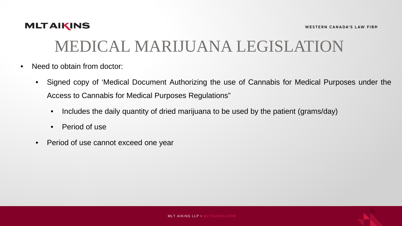

- Need to obtain from doctor:
	- Signed copy of 'Medical Document Authorizing the use of Cannabis for Medical Purposes under the Access to Cannabis for Medical Purposes Regulations"
		- Includes the daily quantity of dried marijuana to be used by the patient (grams/day)
		- Period of use
	- Period of use cannot exceed one year

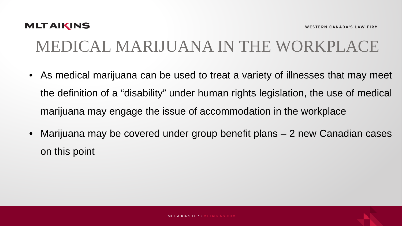# MEDICAL MARIJUANA IN THE WORKPLACE

- As medical marijuana can be used to treat a variety of illnesses that may meet the definition of a "disability" under human rights legislation, the use of medical marijuana may engage the issue of accommodation in the workplace
- Marijuana may be covered under group benefit plans 2 new Canadian cases on this point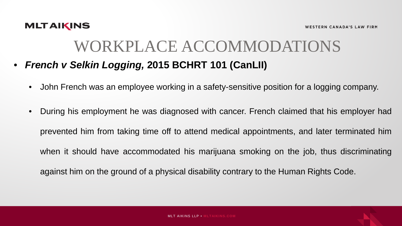### WORKPLACE ACCOMMODATIONS

- *French v Selkin Logging,* **2015 BCHRT 101 (CanLII)**
	- John French was an employee working in a safety-sensitive position for a logging company.
	- During his employment he was diagnosed with cancer. French claimed that his employer had prevented him from taking time off to attend medical appointments, and later terminated him when it should have accommodated his marijuana smoking on the job, thus discriminating

against him on the ground of a physical disability contrary to the Human Rights Code.

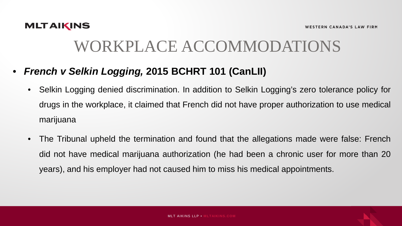

### WORKPLACE ACCOMMODATIONS

- *French v Selkin Logging,* **2015 BCHRT 101 (CanLII)**
	- Selkin Logging denied discrimination. In addition to Selkin Logging's zero tolerance policy for drugs in the workplace, it claimed that French did not have proper authorization to use medical marijuana
	- The Tribunal upheld the termination and found that the allegations made were false: French did not have medical marijuana authorization (he had been a chronic user for more than 20 years), and his employer had not caused him to miss his medical appointments.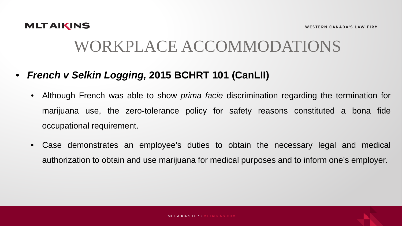

### WORKPLACE ACCOMMODATIONS

- *French v Selkin Logging,* **2015 BCHRT 101 (CanLII)**
	- Although French was able to show *prima facie* discrimination regarding the termination for marijuana use, the zero-tolerance policy for safety reasons constituted a bona fide occupational requirement.
	- Case demonstrates an employee's duties to obtain the necessary legal and medical authorization to obtain and use marijuana for medical purposes and to inform one's employer.

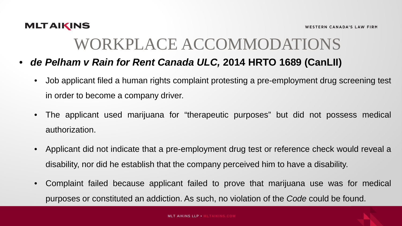## WORKPLACE ACCOMMODATIONS

- *de Pelham v Rain for Rent Canada ULC,* **2014 HRTO 1689 (CanLII)**
	- Job applicant filed a human rights complaint protesting a pre-employment drug screening test in order to become a company driver.
	- The applicant used marijuana for "therapeutic purposes" but did not possess medical authorization.
	- Applicant did not indicate that a pre-employment drug test or reference check would reveal a disability, nor did he establish that the company perceived him to have a disability.
	- Complaint failed because applicant failed to prove that marijuana use was for medical purposes or constituted an addiction. As such, no violation of the *Code* could be found.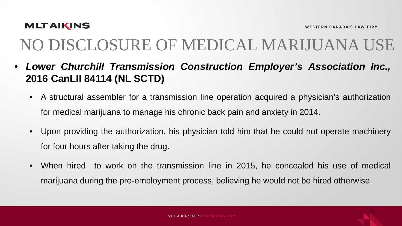- *Lower Churchill Transmission Construction Employer's Association Inc.,* **2016 CanLII 84114 (NL SCTD)**
	- A structural assembler for a transmission line operation acquired a physician's authorization for medical marijuana to manage his chronic back pain and anxiety in 2014.
	- Upon providing the authorization, his physician told him that he could not operate machinery for four hours after taking the drug.
	- When hired to work on the transmission line in 2015, he concealed his use of medical marijuana during the pre-employment process, believing he would not be hired otherwise.

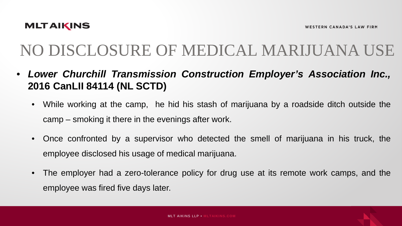- *Lower Churchill Transmission Construction Employer's Association Inc.,* **2016 CanLII 84114 (NL SCTD)**
	- While working at the camp, he hid his stash of marijuana by a roadside ditch outside the camp – smoking it there in the evenings after work.
	- Once confronted by a supervisor who detected the smell of marijuana in his truck, the employee disclosed his usage of medical marijuana.
	- The employer had a zero-tolerance policy for drug use at its remote work camps, and the employee was fired five days later.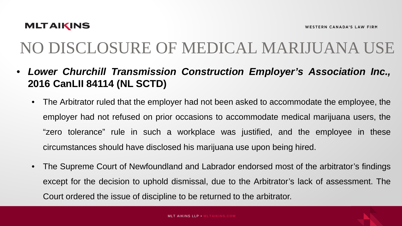- *Lower Churchill Transmission Construction Employer's Association Inc.,* **2016 CanLII 84114 (NL SCTD)**
	- The Arbitrator ruled that the employer had not been asked to accommodate the employee, the employer had not refused on prior occasions to accommodate medical marijuana users, the "zero tolerance" rule in such a workplace was justified, and the employee in these circumstances should have disclosed his marijuana use upon being hired.
	- The Supreme Court of Newfoundland and Labrador endorsed most of the arbitrator's findings except for the decision to uphold dismissal, due to the Arbitrator's lack of assessment. The Court ordered the issue of discipline to be returned to the arbitrator.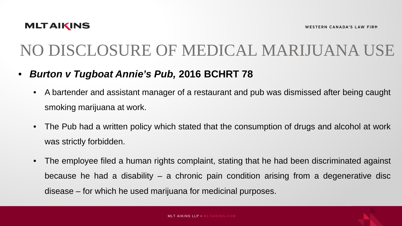- *Burton v Tugboat Annie's Pub,* **2016 BCHRT 78**
	- A bartender and assistant manager of a restaurant and pub was dismissed after being caught smoking marijuana at work.
	- The Pub had a written policy which stated that the consumption of drugs and alcohol at work was strictly forbidden.
	- The employee filed a human rights complaint, stating that he had been discriminated against because he had a disability – a chronic pain condition arising from a degenerative disc disease – for which he used marijuana for medicinal purposes.

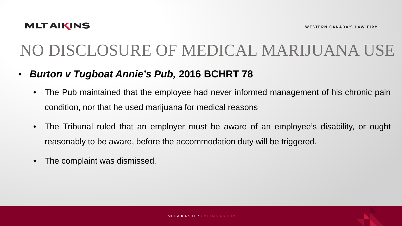- *Burton v Tugboat Annie's Pub,* **2016 BCHRT 78**
	- The Pub maintained that the employee had never informed management of his chronic pain condition, nor that he used marijuana for medical reasons
	- The Tribunal ruled that an employer must be aware of an employee's disability, or ought reasonably to be aware, before the accommodation duty will be triggered.
	- The complaint was dismissed.

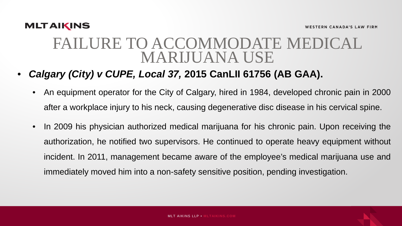### FAILURE TO ACCOMMODATE MEDICAL MARIJUANA USE

- *Calgary (City) v CUPE, Local 37,* **2015 CanLII 61756 (AB GAA).**
	- An equipment operator for the City of Calgary, hired in 1984, developed chronic pain in 2000 after a workplace injury to his neck, causing degenerative disc disease in his cervical spine.
	- In 2009 his physician authorized medical marijuana for his chronic pain. Upon receiving the authorization, he notified two supervisors. He continued to operate heavy equipment without incident. In 2011, management became aware of the employee's medical marijuana use and immediately moved him into a non-safety sensitive position, pending investigation.

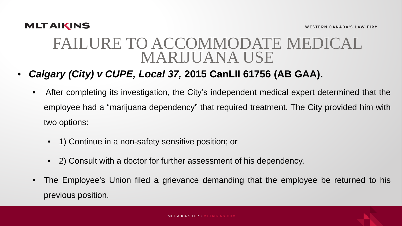### FAILURE TO ACCOMMODATE MEDICAL MARIJUANA USE

- *Calgary (City) v CUPE, Local 37,* **2015 CanLII 61756 (AB GAA).**
	- After completing its investigation, the City's independent medical expert determined that the employee had a "marijuana dependency" that required treatment. The City provided him with two options:
		- 1) Continue in a non-safety sensitive position; or
		- 2) Consult with a doctor for further assessment of his dependency.
	- The Employee's Union filed a grievance demanding that the employee be returned to his previous position.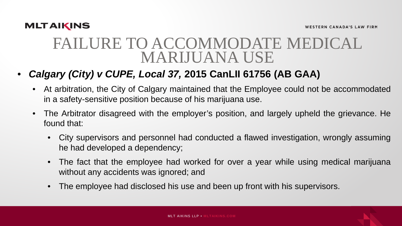### FAILURE TO ACCOMMODATE MEDICAL MARIJUANA USE

#### • *Calgary (City) v CUPE, Local 37,* **2015 CanLII 61756 (AB GAA)**

- At arbitration, the City of Calgary maintained that the Employee could not be accommodated in a safety-sensitive position because of his marijuana use.
- The Arbitrator disagreed with the employer's position, and largely upheld the grievance. He found that:
	- City supervisors and personnel had conducted a flawed investigation, wrongly assuming he had developed a dependency;
	- The fact that the employee had worked for over a year while using medical marijuana without any accidents was ignored; and
	- The employee had disclosed his use and been up front with his supervisors.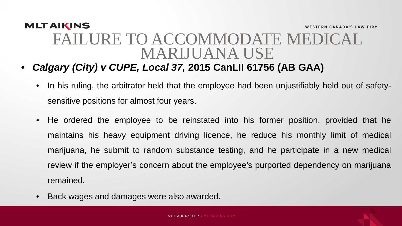#### **MLTAIKINS WESTERN CANADA'S LAW FIRM** FAILURE TO ACCOMMODATE MEDICAL MARIJUANA USE

#### • *Calgary (City) v CUPE, Local 37,* **2015 CanLII 61756 (AB GAA)**

- In his ruling, the arbitrator held that the employee had been unjustifiably held out of safetysensitive positions for almost four years.
- He ordered the employee to be reinstated into his former position, provided that he maintains his heavy equipment driving licence, he reduce his monthly limit of medical marijuana, he submit to random substance testing, and he participate in a new medical review if the employer's concern about the employee's purported dependency on marijuana remained.
- Back wages and damages were also awarded.

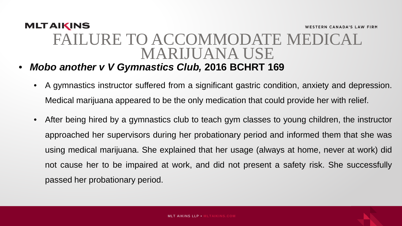#### **MLTAIKINS WESTERN CANADA'S LAW FIRM** FAILURE TO ACCOMMODATE MEDICAL MARIJUANA USE

- *Mobo another v V Gymnastics Club,* **2016 BCHRT 169**
	- A gymnastics instructor suffered from a significant gastric condition, anxiety and depression. Medical marijuana appeared to be the only medication that could provide her with relief.
	- After being hired by a gymnastics club to teach gym classes to young children, the instructor approached her supervisors during her probationary period and informed them that she was using medical marijuana. She explained that her usage (always at home, never at work) did not cause her to be impaired at work, and did not present a safety risk. She successfully passed her probationary period.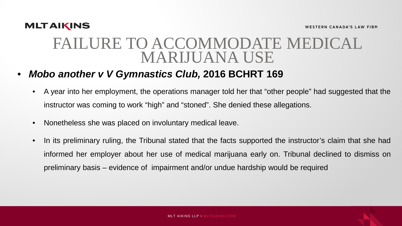### FAILURE TO ACCOMMODATE MEDICAL MARIJUANA USE

- *Mobo another v V Gymnastics Club,* **2016 BCHRT 169**
	- A year into her employment, the operations manager told her that "other people" had suggested that the instructor was coming to work "high" and "stoned". She denied these allegations.
	- Nonetheless she was placed on involuntary medical leave.
	- In its preliminary ruling, the Tribunal stated that the facts supported the instructor's claim that she had informed her employer about her use of medical marijuana early on. Tribunal declined to dismiss on preliminary basis – evidence of impairment and/or undue hardship would be required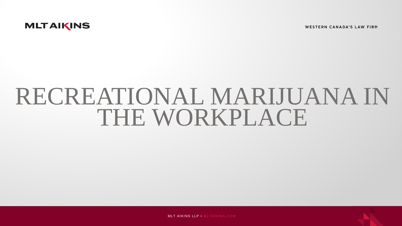



# RECREATIONAL MARIJUANA IN THE WORKPLACE



MLT AIKINS LLP • **MLTAIKINS.COM**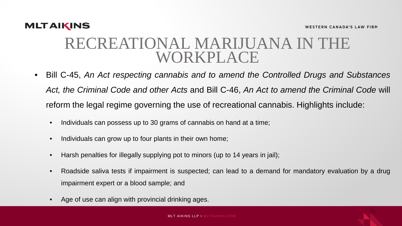

### RECREATIONAL MARIJUANA IN THE WORKPLACE

- Bill C-45, *An Act respecting cannabis and to amend the Controlled Drugs and Substances Act, the Criminal Code and other Acts* and Bill C-46, *An Act to amend the Criminal Code* will reform the legal regime governing the use of recreational cannabis. Highlights include:
	- Individuals can possess up to 30 grams of cannabis on hand at a time;
	- Individuals can grow up to four plants in their own home;
	- Harsh penalties for illegally supplying pot to minors (up to 14 years in jail);
	- Roadside saliva tests if impairment is suspected; can lead to a demand for mandatory evaluation by a drug impairment expert or a blood sample; and
	- Age of use can align with provincial drinking ages.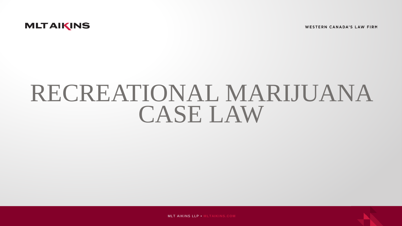**WESTERN CANADA'S LAW FIRM** 

#### **MLTAIKINS**

# RECREATIONAL MARIJUANA CASE LAW



MLT AIKINS LLP • **MLTAIKINS.COM**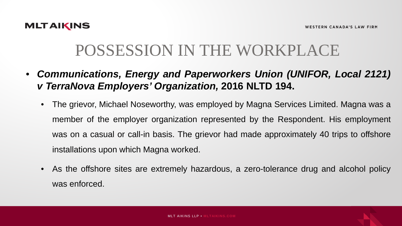

- *Communications, Energy and Paperworkers Union (UNIFOR, Local 2121) v TerraNova Employers' Organization,* **2016 NLTD 194.**
	- The grievor, Michael Noseworthy, was employed by Magna Services Limited. Magna was a member of the employer organization represented by the Respondent. His employment was on a casual or call-in basis. The grievor had made approximately 40 trips to offshore installations upon which Magna worked.
	- As the offshore sites are extremely hazardous, a zero-tolerance drug and alcohol policy was enforced.

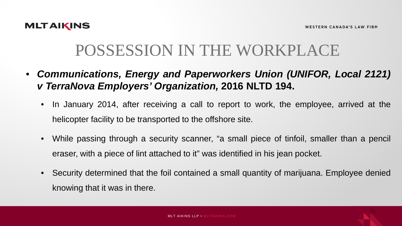

- *Communications, Energy and Paperworkers Union (UNIFOR, Local 2121) v TerraNova Employers' Organization,* **2016 NLTD 194.**
	- In January 2014, after receiving a call to report to work, the employee, arrived at the helicopter facility to be transported to the offshore site.
	- While passing through a security scanner, "a small piece of tinfoil, smaller than a pencil eraser, with a piece of lint attached to it" was identified in his jean pocket.
	- Security determined that the foil contained a small quantity of marijuana. Employee denied knowing that it was in there.

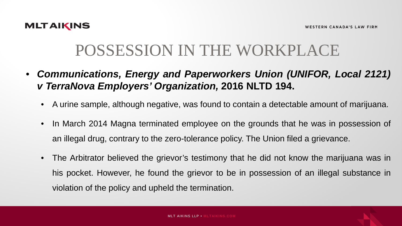

- *Communications, Energy and Paperworkers Union (UNIFOR, Local 2121) v TerraNova Employers' Organization,* **2016 NLTD 194.**
	- A urine sample, although negative, was found to contain a detectable amount of marijuana.
	- In March 2014 Magna terminated employee on the grounds that he was in possession of an illegal drug, contrary to the zero-tolerance policy. The Union filed a grievance.
	- The Arbitrator believed the grievor's testimony that he did not know the marijuana was in his pocket. However, he found the grievor to be in possession of an illegal substance in violation of the policy and upheld the termination.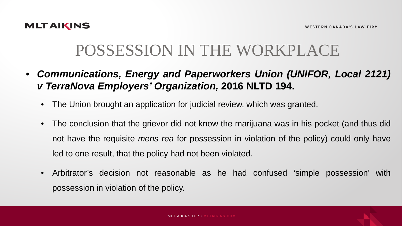

- *Communications, Energy and Paperworkers Union (UNIFOR, Local 2121) v TerraNova Employers' Organization,* **2016 NLTD 194.**
	- The Union brought an application for judicial review, which was granted.
	- The conclusion that the grievor did not know the marijuana was in his pocket (and thus did not have the requisite *mens rea* for possession in violation of the policy) could only have led to one result, that the policy had not been violated.
	- Arbitrator's decision not reasonable as he had confused 'simple possession' with possession in violation of the policy.

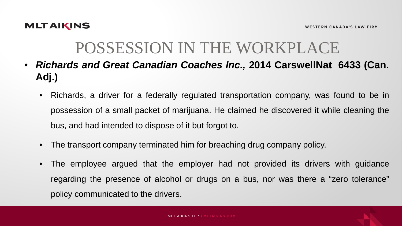- *Richards and Great Canadian Coaches Inc.,* **2014 CarswellNat 6433 (Can. Adj.)**
	- Richards, a driver for a federally regulated transportation company, was found to be in possession of a small packet of marijuana. He claimed he discovered it while cleaning the bus, and had intended to dispose of it but forgot to.
	- The transport company terminated him for breaching drug company policy.
	- The employee argued that the employer had not provided its drivers with guidance regarding the presence of alcohol or drugs on a bus, nor was there a "zero tolerance" policy communicated to the drivers.

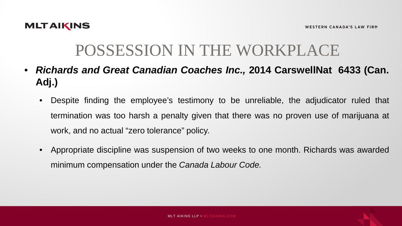

- *Richards and Great Canadian Coaches Inc.,* **2014 CarswellNat 6433 (Can. Adj.)**
	- Despite finding the employee's testimony to be unreliable, the adjudicator ruled that termination was too harsh a penalty given that there was no proven use of marijuana at work, and no actual "zero tolerance" policy.
	- Appropriate discipline was suspension of two weeks to one month. Richards was awarded minimum compensation under the *Canada Labour Code.*

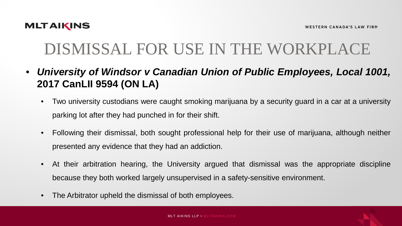## DISMISSAL FOR USE IN THE WORKPLACE

- *University of Windsor v Canadian Union of Public Employees, Local 1001,* **2017 CanLII 9594 (ON LA)**
	- Two university custodians were caught smoking marijuana by a security guard in a car at a university parking lot after they had punched in for their shift.
	- Following their dismissal, both sought professional help for their use of marijuana, although neither presented any evidence that they had an addiction.
	- At their arbitration hearing, the University argued that dismissal was the appropriate discipline because they both worked largely unsupervised in a safety-sensitive environment.
	- The Arbitrator upheld the dismissal of both employees.

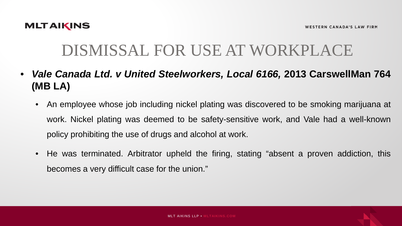### DISMISSAL FOR USE AT WORKPLACE

- *Vale Canada Ltd. v United Steelworkers, Local 6166,* **2013 CarswellMan 764 (MB LA)**
	- An employee whose job including nickel plating was discovered to be smoking marijuana at work. Nickel plating was deemed to be safety-sensitive work, and Vale had a well-known policy prohibiting the use of drugs and alcohol at work.
	- He was terminated. Arbitrator upheld the firing, stating "absent a proven addiction, this becomes a very difficult case for the union."